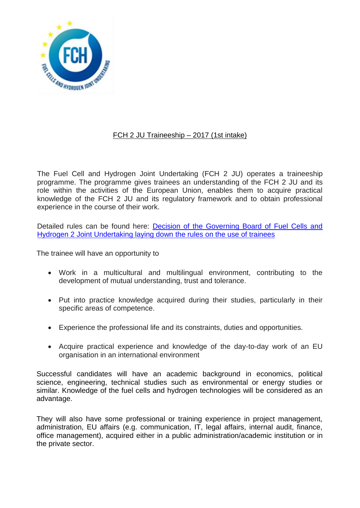

# FCH 2 JU Traineeship – 2017 (1st intake)

The Fuel Cell and Hydrogen Joint Undertaking (FCH 2 JU) operates a traineeship programme. The programme gives trainees an understanding of the FCH 2 JU and its role within the activities of the European Union, enables them to acquire practical knowledge of the FCH 2 JU and its regulatory framework and to obtain professional experience in the course of their work.

Detailed rules can be found here: [Decision of the Governing Board of Fuel Cells and](http://www.fch.europa.eu/sites/default/files/Decision%20of%20the%20GB%20on%20Traineeship.pdf)  [Hydrogen 2 Joint Undertaking laying down](http://www.fch.europa.eu/sites/default/files/Decision%20of%20the%20GB%20on%20Traineeship.pdf) the rules on the use of trainees

The trainee will have an opportunity to

- Work in a multicultural and multilingual environment, contributing to the development of mutual understanding, trust and tolerance.
- Put into practice knowledge acquired during their studies, particularly in their specific areas of competence.
- Experience the professional life and its constraints, duties and opportunities.
- Acquire practical experience and knowledge of the day-to-day work of an EU organisation in an international environment

Successful candidates will have an academic background in economics, political science, engineering, technical studies such as environmental or energy studies or similar. Knowledge of the fuel cells and hydrogen technologies will be considered as an advantage.

They will also have some professional or training experience in project management, administration, EU affairs (e.g. communication, IT, legal affairs, internal audit, finance, office management), acquired either in a public administration/academic institution or in the private sector.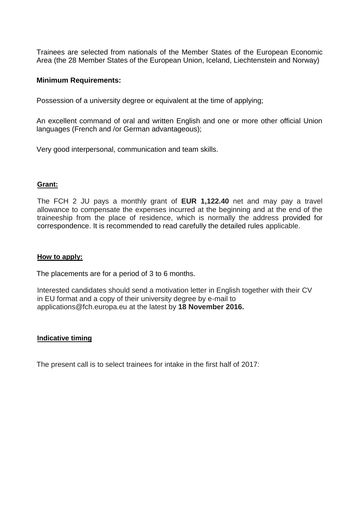Trainees are selected from nationals of the Member States of the European Economic Area (the 28 Member States of the European Union, Iceland, Liechtenstein and Norway)

### **Minimum Requirements:**

Possession of a university degree or equivalent at the time of applying;

An excellent command of oral and written English and one or more other official Union languages (French and /or German advantageous);

Very good interpersonal, communication and team skills.

#### **Grant:**

The FCH 2 JU pays a monthly grant of **EUR 1,122.40** net and may pay a travel allowance to compensate the expenses incurred at the beginning and at the end of the traineeship from the place of residence, which is normally the address provided for correspondence. It is recommended to read carefully the detailed rules applicable.

#### **How to apply:**

The placements are for a period of 3 to 6 months.

Interested candidates should send a motivation letter in English together with their CV in EU format and a copy of their university degree by e-mail to [applications@fch.europa.eu](mailto:applications@fch.europa.eu) at the latest by **18 November 2016.**

#### **Indicative timing**

The present call is to select trainees for intake in the first half of 2017: